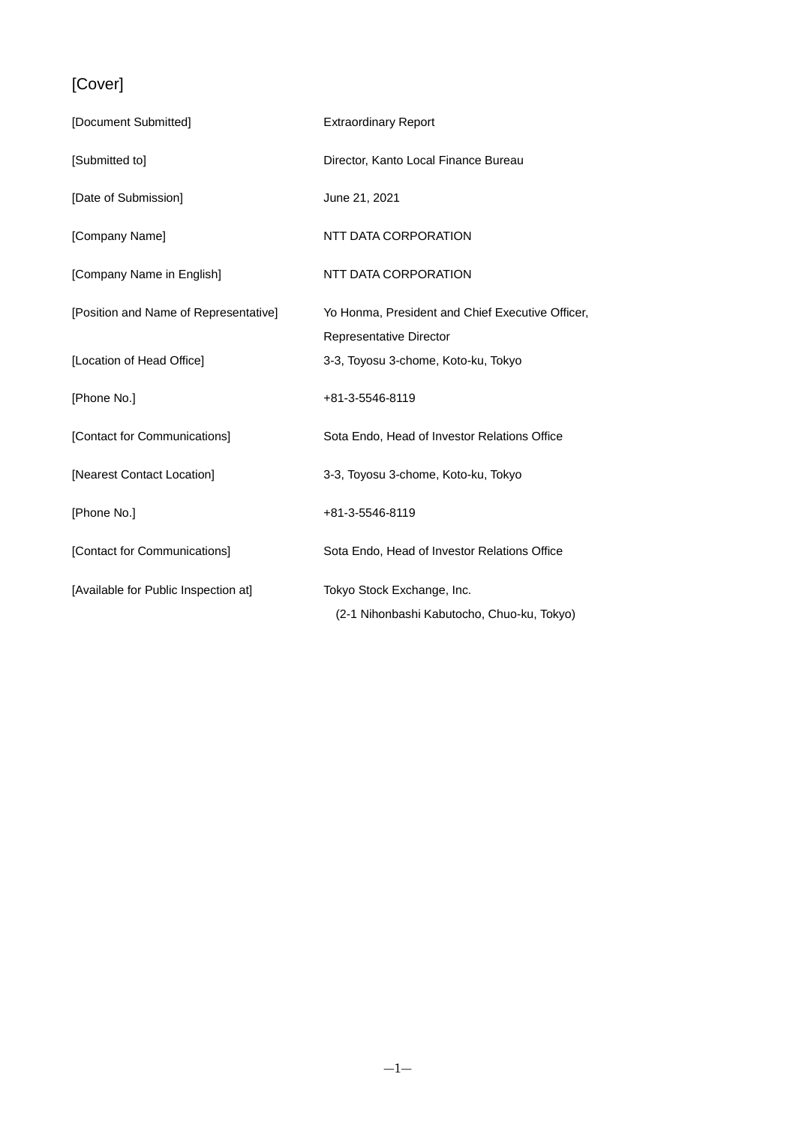## [Cover]

| [Document Submitted]                  | <b>Extraordinary Report</b>                                                 |
|---------------------------------------|-----------------------------------------------------------------------------|
| [Submitted to]                        | Director, Kanto Local Finance Bureau                                        |
| [Date of Submission]                  | June 21, 2021                                                               |
| [Company Name]                        | NTT DATA CORPORATION                                                        |
| [Company Name in English]             | NTT DATA CORPORATION                                                        |
| [Position and Name of Representative] | Yo Honma, President and Chief Executive Officer,<br>Representative Director |
| [Location of Head Office]             | 3-3, Toyosu 3-chome, Koto-ku, Tokyo                                         |
| [Phone No.]                           | +81-3-5546-8119                                                             |
| [Contact for Communications]          | Sota Endo, Head of Investor Relations Office                                |
| [Nearest Contact Location]            | 3-3, Toyosu 3-chome, Koto-ku, Tokyo                                         |
| [Phone No.]                           | +81-3-5546-8119                                                             |
| [Contact for Communications]          | Sota Endo, Head of Investor Relations Office                                |
| [Available for Public Inspection at]  | Tokyo Stock Exchange, Inc.<br>(2-1 Nihonbashi Kabutocho, Chuo-ku, Tokyo)    |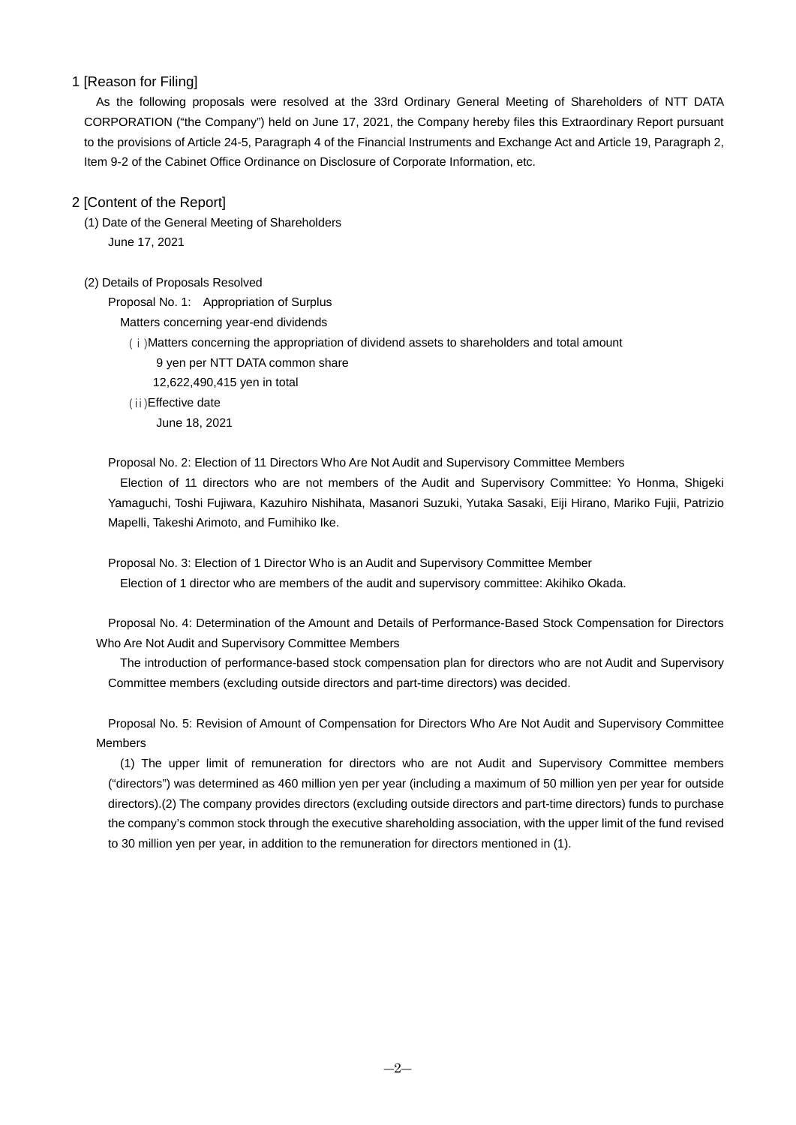## 1 [Reason for Filing]

As the following proposals were resolved at the 33rd Ordinary General Meeting of Shareholders of NTT DATA CORPORATION ("the Company") held on June 17, 2021, the Company hereby files this Extraordinary Report pursuant to the provisions of Article 24-5, Paragraph 4 of the Financial Instruments and Exchange Act and Article 19, Paragraph 2, Item 9-2 of the Cabinet Office Ordinance on Disclosure of Corporate Information, etc.

## 2 [Content of the Report]

(1) Date of the General Meeting of Shareholders June 17, 2021

## (2) Details of Proposals Resolved

Proposal No. 1: Appropriation of Surplus Matters concerning year-end dividends

(ⅰ)Matters concerning the appropriation of dividend assets to shareholders and total amount

9 yen per NTT DATA common share

12,622,490,415 yen in total

(ⅱ)Effective date June 18, 2021

Proposal No. 2: Election of 11 Directors Who Are Not Audit and Supervisory Committee Members

Election of 11 directors who are not members of the Audit and Supervisory Committee: Yo Honma, Shigeki Yamaguchi, Toshi Fujiwara, Kazuhiro Nishihata, Masanori Suzuki, Yutaka Sasaki, Eiji Hirano, Mariko Fujii, Patrizio Mapelli, Takeshi Arimoto, and Fumihiko Ike.

Proposal No. 3: Election of 1 Director Who is an Audit and Supervisory Committee Member Election of 1 director who are members of the audit and supervisory committee: Akihiko Okada.

Proposal No. 4: Determination of the Amount and Details of Performance-Based Stock Compensation for Directors Who Are Not Audit and Supervisory Committee Members

The introduction of performance-based stock compensation plan for directors who are not Audit and Supervisory Committee members (excluding outside directors and part-time directors) was decided.

Proposal No. 5: Revision of Amount of Compensation for Directors Who Are Not Audit and Supervisory Committee Members

(1) The upper limit of remuneration for directors who are not Audit and Supervisory Committee members ("directors") was determined as 460 million yen per year (including a maximum of 50 million yen per year for outside directors).(2) The company provides directors (excluding outside directors and part-time directors) funds to purchase the company's common stock through the executive shareholding association, with the upper limit of the fund revised to 30 million yen per year, in addition to the remuneration for directors mentioned in (1).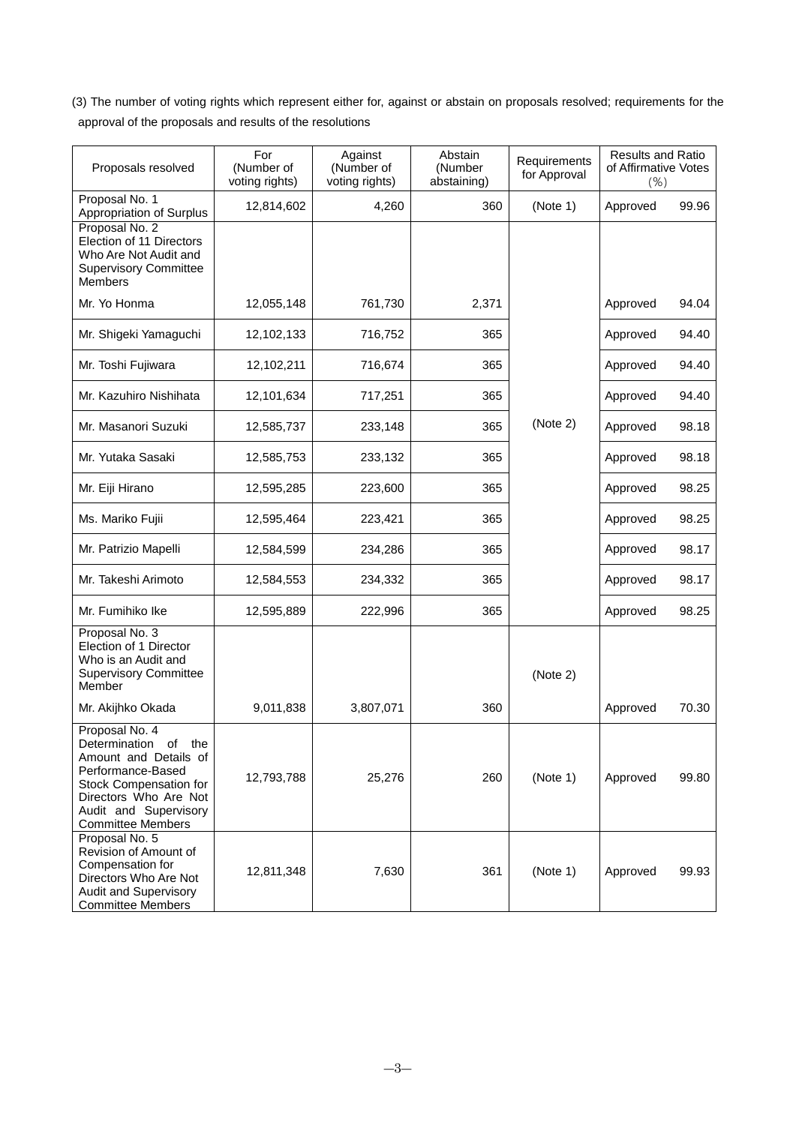(3) The number of voting rights which represent either for, against or abstain on proposals resolved; requirements for the approval of the proposals and results of the resolutions

| Proposals resolved                                                                                                                                                                                 | For<br>(Number of<br>voting rights) | Against<br>(Number of<br>voting rights) | Abstain<br>(Number<br>abstaining) | Requirements<br>for Approval | <b>Results and Ratio</b><br>of Affirmative Votes<br>(% ) |       |
|----------------------------------------------------------------------------------------------------------------------------------------------------------------------------------------------------|-------------------------------------|-----------------------------------------|-----------------------------------|------------------------------|----------------------------------------------------------|-------|
| Proposal No. 1<br>Appropriation of Surplus                                                                                                                                                         | 12,814,602                          | 4,260                                   | 360                               | (Note 1)                     | Approved                                                 | 99.96 |
| Proposal No. 2<br>Election of 11 Directors<br>Who Are Not Audit and<br><b>Supervisory Committee</b><br><b>Members</b>                                                                              |                                     |                                         |                                   |                              |                                                          |       |
| Mr. Yo Honma                                                                                                                                                                                       | 12,055,148                          | 761,730                                 | 2,371                             |                              | Approved                                                 | 94.04 |
| Mr. Shigeki Yamaguchi                                                                                                                                                                              | 12,102,133                          | 716,752                                 | 365                               |                              | Approved                                                 | 94.40 |
| Mr. Toshi Fujiwara                                                                                                                                                                                 | 12,102,211                          | 716,674                                 | 365                               |                              | Approved                                                 | 94.40 |
| Mr. Kazuhiro Nishihata                                                                                                                                                                             | 12,101,634                          | 717,251                                 | 365                               |                              | Approved                                                 | 94.40 |
| Mr. Masanori Suzuki                                                                                                                                                                                | 12,585,737                          | 233,148                                 | 365                               | (Note 2)                     | Approved                                                 | 98.18 |
| Mr. Yutaka Sasaki                                                                                                                                                                                  | 12,585,753                          | 233,132                                 | 365                               |                              | Approved                                                 | 98.18 |
| Mr. Eiji Hirano                                                                                                                                                                                    | 12,595,285                          | 223,600                                 | 365                               |                              | Approved                                                 | 98.25 |
| Ms. Mariko Fujii                                                                                                                                                                                   | 12,595,464                          | 223,421                                 | 365                               |                              | Approved                                                 | 98.25 |
| Mr. Patrizio Mapelli                                                                                                                                                                               | 12,584,599                          | 234,286                                 | 365                               |                              | Approved                                                 | 98.17 |
| Mr. Takeshi Arimoto                                                                                                                                                                                | 12,584,553                          | 234,332                                 | 365                               |                              | Approved                                                 | 98.17 |
| Mr. Fumihiko Ike                                                                                                                                                                                   | 12,595,889                          | 222,996                                 | 365                               |                              | Approved                                                 | 98.25 |
| Proposal No. 3<br>Election of 1 Director<br>Who is an Audit and<br><b>Supervisory Committee</b><br>Member                                                                                          |                                     |                                         |                                   | (Note 2)                     |                                                          |       |
| Mr. Akijhko Okada                                                                                                                                                                                  | 9,011,838                           | 3,807,071                               | 360                               |                              | Approved                                                 | 70.30 |
| Proposal No. 4<br>Determination<br>of<br>the<br>Amount and Details of<br>Performance-Based<br>Stock Compensation for<br>Directors Who Are Not<br>Audit and Supervisory<br><b>Committee Members</b> | 12,793,788                          | 25,276                                  | 260                               | (Note 1)                     | Approved                                                 | 99.80 |
| Proposal No. 5<br>Revision of Amount of<br>Compensation for<br>Directors Who Are Not<br><b>Audit and Supervisory</b><br><b>Committee Members</b>                                                   | 12,811,348                          | 7,630                                   | 361                               | (Note 1)                     | Approved                                                 | 99.93 |